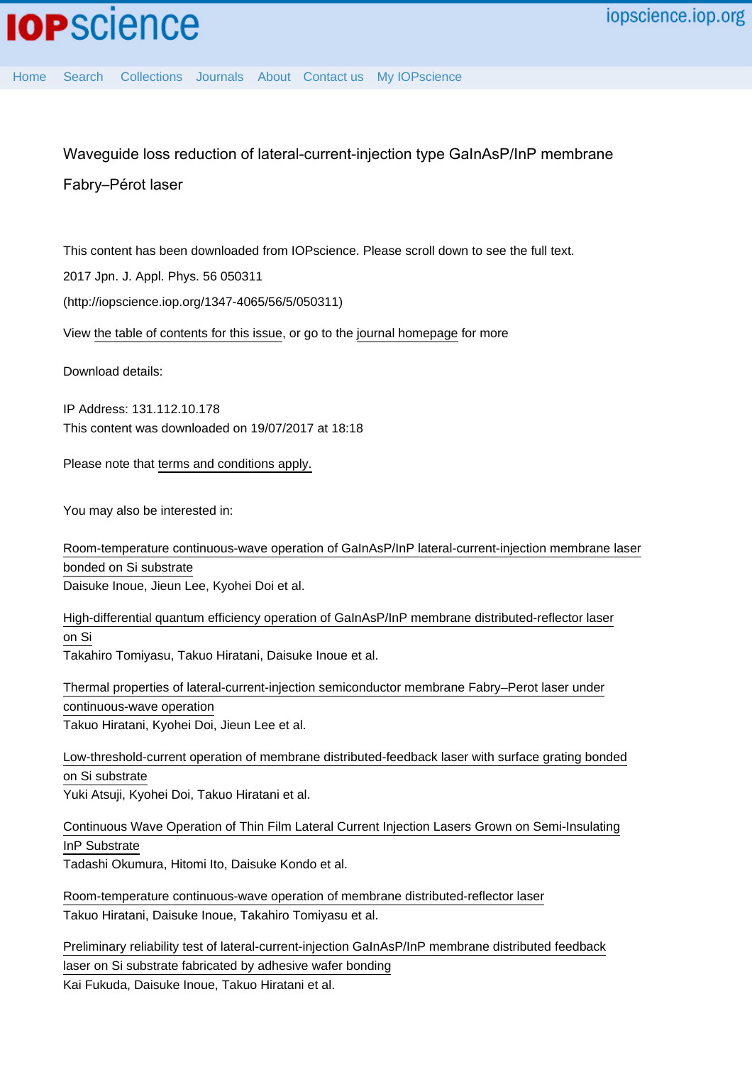## Waveguide loss reduction of lateral-current-injection type GaInAsP/InP membrane

## Fabry–Pérot laser

This content has been downloaded from IOPscience. Please scroll down to see the full text.

2017 Jpn. J. Appl. Phys. 56 050311

(http://iopscience.iop.org/1347-4065/56/5/050311)

View [the table of contents for this issue](http://iopscience.iop.org/1347-4065/56/5), or go to the [journal homepage](http://iopscience.iop.org/1347-4065) for more

Download details:

IP Address: 131.112.10.178 This content was downloaded on 19/07/2017 at 18:18

Please note that [terms and conditions apply.](http://iopscience.iop.org/page/terms)

You may also be interested in:

[Room-temperature continuous-wave operation of GaInAsP/InP lateral-current-injection membrane laser](http://iopscience.iop.org/article/10.7567/APEX.7.072701) [bonded on Si substrate](http://iopscience.iop.org/article/10.7567/APEX.7.072701) Daisuke Inoue, Jieun Lee, Kyohei Doi et al.

[High-differential quantum efficiency operation of GaInAsP/InP membrane distributed-reflector laser](http://iopscience.iop.org/article/10.7567/APEX.10.062702) [on Si](http://iopscience.iop.org/article/10.7567/APEX.10.062702)

Takahiro Tomiyasu, Takuo Hiratani, Daisuke Inoue et al.

[Thermal properties of lateral-current-injection semiconductor membrane Fabry–Perot laser under](http://iopscience.iop.org/article/10.7567/JJAP.54.042701) [continuous-wave operation](http://iopscience.iop.org/article/10.7567/JJAP.54.042701) Takuo Hiratani, Kyohei Doi, Jieun Lee et al.

[Low-threshold-current operation of membrane distributed-feedback laser with surface grating bonded](http://iopscience.iop.org/article/10.7567/JJAP.54.080301) [on Si substrate](http://iopscience.iop.org/article/10.7567/JJAP.54.080301) Yuki Atsuji, Kyohei Doi, Takuo Hiratani et al.

[Continuous Wave Operation of Thin Film Lateral Current Injection Lasers Grown on Semi-Insulating](http://iopscience.iop.org/article/10.1143/JJAP.49.040205) [InP Substrate](http://iopscience.iop.org/article/10.1143/JJAP.49.040205) Tadashi Okumura, Hitomi Ito, Daisuke Kondo et al.

[Room-temperature continuous-wave operation of membrane distributed-reflector laser](http://iopscience.iop.org/article/10.7567/APEX.8.112701) Takuo Hiratani, Daisuke Inoue, Takahiro Tomiyasu et al.

[Preliminary reliability test of lateral-current-injection GaInAsP/InP membrane distributed feedback](http://iopscience.iop.org/article/10.7567/JJAP.56.028002) [laser on Si substrate fabricated by adhesive wafer bonding](http://iopscience.iop.org/article/10.7567/JJAP.56.028002) Kai Fukuda, Daisuke Inoue, Takuo Hiratani et al.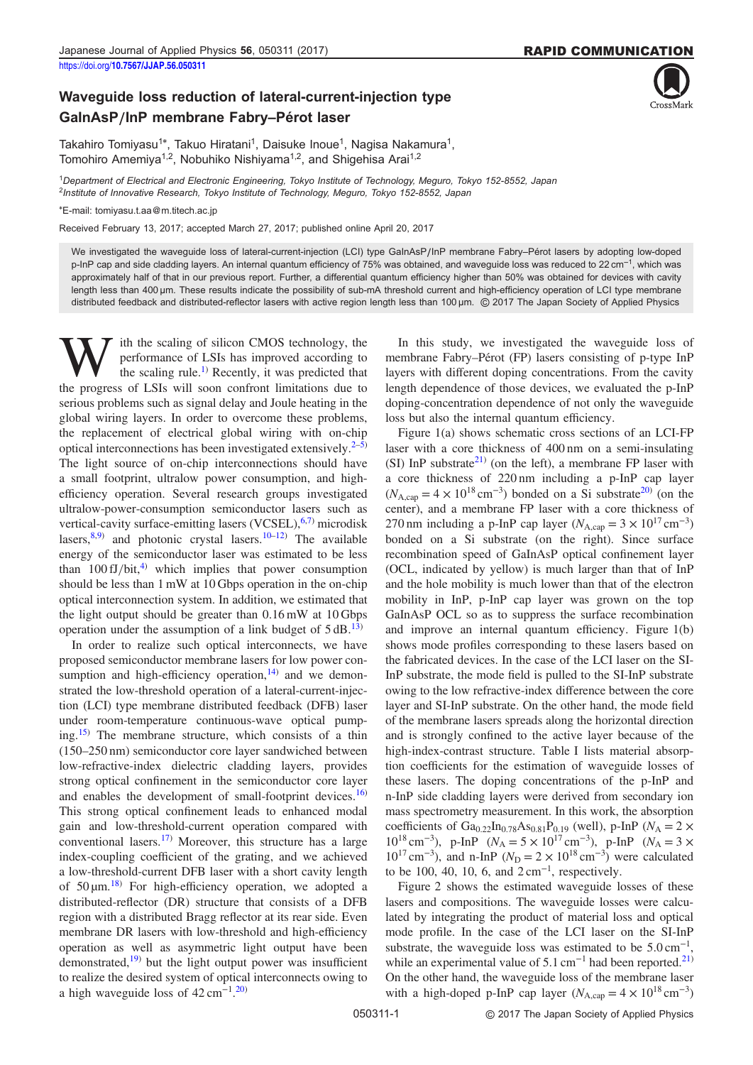## Waveguide loss reduction of lateral-current-injection type GaInAsP/InP membrane Fabry–Pérot laser



Takahiro Tomiyasu<sup>1\*</sup>, Takuo Hiratani<sup>1</sup>, Daisuke Inoue<sup>1</sup>, Nagisa Nakamura<sup>1</sup>, Tomohiro Amemiya<sup>1,2</sup>, Nobuhiko Nishiyama<sup>1,2</sup>, and Shigehisa Arai<sup>1,2</sup>

<sup>1</sup>Department of Electrical and Electronic Engineering, Tokyo Institute of Technology, Meguro, Tokyo 152-8552, Japan <sup>2</sup>Institute of Innovative Research, Tokyo Institute of Technology, Meguro, Tokyo 152-8552, Japan

\*E-mail: tomiyasu.t.aa@m.titech.ac.jp

Received February 13, 2017; accepted March 27, 2017; published online April 20, 2017

We investigated the waveguide loss of lateral-current-injection (LCI) type GaInAsP/InP membrane Fabry–Pérot lasers by adopting low-doped p-InP cap and side cladding layers. An internal quantum efficiency of 75% was obtained, and waveguide loss was reduced to 22 cm<sup>-1</sup>, which was approximately half of that in our previous report. Further, a differential quantum efficiency higher than 50% was obtained for devices with cavity length less than 400 µm. These results indicate the possibility of sub-mA threshold current and high-efficiency operation of LCI type membrane distributed feedback and distributed-reflector lasers with active region length less than 100 µm. © 2017 The Japan Society of Applied Physics

ith the scaling of silicon CMOS technology, the performance of LSIs has improved according to the scaling rule.<sup>1)</sup> Recently, it was predicted that the progress of LSIs will soon confront limitations due to serious problems such as signal delay and Joule heating in the global wiring layers. In order to overcome these problems, the replacement of electrical global wiring with on-chip optical interconnections has been investigated extensively. $2-5$  $2-5$  $2-5$ ) The light source of on-chip interconnections should have a small footprint, ultralow power consumption, and highefficiency operation. Several research groups investigated ultralow-power-consumption semiconductor lasers such as vertical-cavity surface-emitting lasers  $(VCSEL)$ , <sup>[6,7\)](#page-4-0)</sup> microdisk lasers, $8,9)$  $8,9)$  $8,9)$  $8,9)$  and photonic crystal lasers.<sup>[10](#page-4-0)–[12](#page-4-0))</sup> The available energy of the semiconductor laser was estimated to be less than  $100 \text{ fJ}/\text{bit}$ ,<sup>[4](#page-4-0))</sup> which implies that power consumption should be less than 1 mW at 10 Gbps operation in the on-chip optical interconnection system. In addition, we estimated that the light output should be greater than 0.16 mW at 10 Gbps operation under the assumption of a link budget of  $5 \text{ dB}$ .<sup>[13\)](#page-4-0)</sup>

In order to realize such optical interconnects, we have proposed semiconductor membrane lasers for low power consumption and high-efficiency operation, $14$ ) and we demonstrated the low-threshold operation of a lateral-current-injection (LCI) type membrane distributed feedback (DFB) laser under room-temperature continuous-wave optical pump-ing.<sup>[15\)](#page-4-0)</sup> The membrane structure, which consists of a thin strated the fow-theshold operation of a fateral-current-injection (LCI) type membrane distributed feedback (DFB) laser<br>under room-temperature continuous-wave optical pump-<br>ing.<sup>15)</sup> The membrane structure, which consists o low-refractive-index dielectric cladding layers, provides strong optical confinement in the semiconductor core layer and enables the development of small-footprint devices. $16$ This strong optical confinement leads to enhanced modal gain and low-threshold-current operation compared with conventional lasers.[17](#page-4-0)) Moreover, this structure has a large index-coupling coefficient of the grating, and we achieved a low-threshold-current DFB laser with a short cavity length of  $50 \mu m$ .<sup>[18](#page-4-0))</sup> For high-efficiency operation, we adopted a distributed-reflector (DR) structure that consists of a DFB region with a distributed Bragg reflector at its rear side. Even membrane DR lasers with low-threshold and high-efficiency operation as well as asymmetric light output have been demonstrated, $19$  but the light output power was insufficient to realize the desired system of optical interconnects owing to a high waveguide loss of  $42 \text{ cm}^{-1}$ .<sup>[20](#page-4-0))</sup>

In this study, we investigated the waveguide loss of membrane Fabry–Pérot (FP) lasers consisting of p-type InP layers with different doping concentrations. From the cavity length dependence of those devices, we evaluated the p-InP doping-concentration dependence of not only the waveguide loss but also the internal quantum efficiency.

Figure [1\(](#page-2-0)a) shows schematic cross sections of an LCI-FP laser with a core thickness of 400 nm on a semi-insulating (SI) InP substrate<sup>[21](#page-4-0))</sup> (on the left), a membrane FP laser with a core thickness of 220 nm including a p-InP cap layer  $(N_{A,\text{cap}} = 4 \times 10^{18} \text{ cm}^{-3})$  bonded on a Si substrate<sup>[20\)](#page-4-0)</sup> (on the center), and a membrane FP laser with a core thickness of 270 nm including a p-InP cap layer ( $N_{A,\text{cap}} = 3 \times 10^{17} \text{ cm}^{-3}$ ) bonded on a Si substrate (on the right). Since surface recombination speed of GaInAsP optical confinement layer (OCL, indicated by yellow) is much larger than that of InP and the hole mobility is much lower than that of the electron mobility in InP, p-InP cap layer was grown on the top GaInAsP OCL so as to suppress the surface recombination and improve an internal quantum efficiency. Figure [1](#page-2-0)(b) shows mode profiles corresponding to these lasers based on the fabricated devices. In the case of the LCI laser on the SI-InP substrate, the mode field is pulled to the SI-InP substrate owing to the low refractive-index difference between the core layer and SI-InP substrate. On the other hand, the mode field of the membrane lasers spreads along the horizontal direction and is strongly confined to the active layer because of the high-index-contrast structure. Table I lists material absorption coefficients for the estimation of waveguide losses of these lasers. The doping concentrations of the p-InP and n-InP side cladding layers were derived from secondary ion mass spectrometry measurement. In this work, the absorption coefficients of Ga<sub>0.22</sub>In<sub>0.78</sub>As<sub>0.81</sub>P<sub>0.19</sub> (well), p-InP ( $N_A = 2 \times$  $10^{18}$  cm<sup>-3</sup>), p-InP ( $N_A = 5 \times 10^{17}$  cm<sup>-3</sup>), p-InP ( $N_A = 3 \times$  $10^{17}$  cm<sup>-3</sup>), and n-InP ( $N_D = 2 \times 10^{18}$  cm<sup>-3</sup>) were calculated to be 100, 40, 10, 6, and  $2 \text{ cm}^{-1}$ , respectively.

Figure [2](#page-2-0) shows the estimated waveguide losses of these lasers and compositions. The waveguide losses were calculated by integrating the product of material loss and optical mode profile. In the case of the LCI laser on the SI-InP substrate, the waveguide loss was estimated to be  $5.0 \text{ cm}^{-1}$ , while an experimental value of  $5.1 \text{ cm}^{-1}$  had been reported.<sup>[21](#page-4-0))</sup> On the other hand, the waveguide loss of the membrane laser with a high-doped p-InP cap layer ( $N_{A,\text{cap}} = 4 \times 10^{18} \text{ cm}^{-3}$ )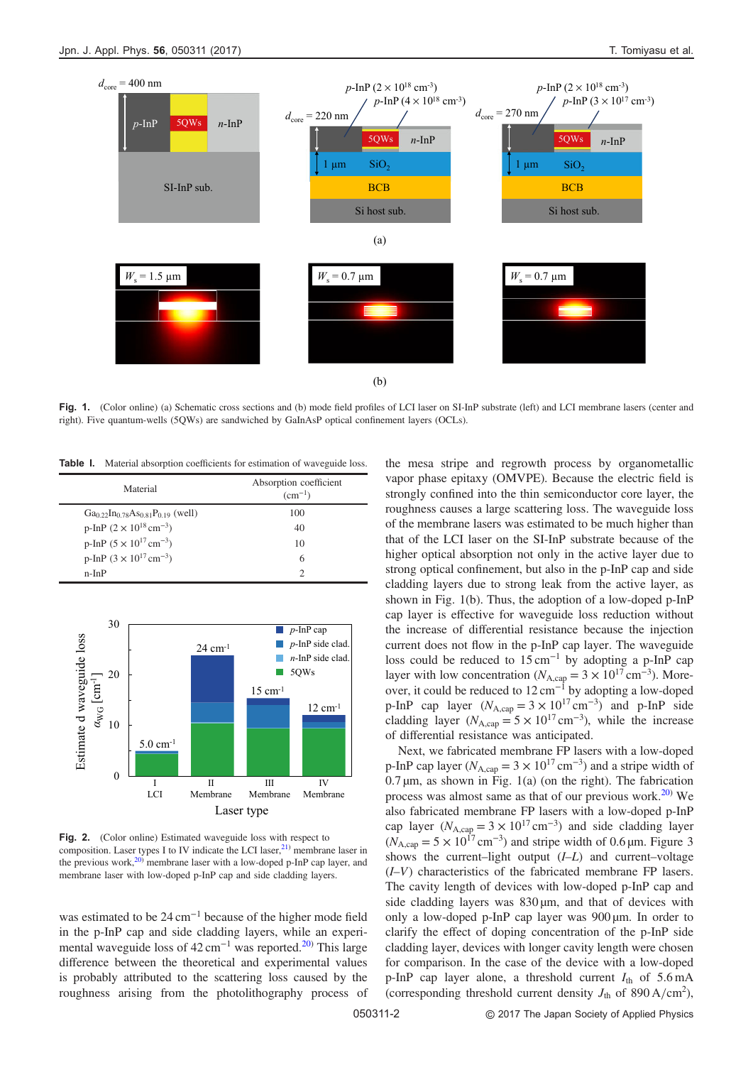<span id="page-2-0"></span>

Fig. 1. (Color online) (a) Schematic cross sections and (b) mode field profiles of LCI laser on SI-InP substrate (left) and LCI membrane lasers (center and right). Five quantum-wells (5QWs) are sandwiched by GaInAsP optical confinement layers (OCLs).

Table I. Material absorption coefficients for estimation of waveguide loss.

| Material                                                                                  | Absorption coefficient<br>$(cm^{-1})$ |
|-------------------------------------------------------------------------------------------|---------------------------------------|
| $Ga_0$ <sub>22</sub> $In_0$ <sub>78</sub> $As_0$ <sub>81</sub> $P_0$ <sub>19</sub> (well) | 100                                   |
| p-InP $(2 \times 10^{18} \text{ cm}^{-3})$                                                | 40                                    |
| p-InP $(5 \times 10^{17} \text{ cm}^{-3})$                                                | 10                                    |
| p-InP $(3 \times 10^{17} \text{ cm}^{-3})$                                                | 6                                     |
| $n-InP$                                                                                   |                                       |



Fig. 2. (Color online) Estimated waveguide loss with respect to composition. Laser types I to IV indicate the LCI laser,<sup>[21](#page-4-0))</sup> membrane laser in the previous work, $2^{(0)}$  membrane laser with a low-doped p-InP cap layer, and membrane laser with low-doped p-InP cap and side cladding layers.

was estimated to be 24 cm<sup>−</sup><sup>1</sup> because of the higher mode field in the p-InP cap and side cladding layers, while an experimental waveguide loss of  $42 \text{ cm}^{-1}$  was reported.<sup>[20\)](#page-4-0)</sup> This large difference between the theoretical and experimental values is probably attributed to the scattering loss caused by the roughness arising from the photolithography process of

the mesa stripe and regrowth process by organometallic vapor phase epitaxy (OMVPE). Because the electric field is strongly confined into the thin semiconductor core layer, the roughness causes a large scattering loss. The waveguide loss of the membrane lasers was estimated to be much higher than that of the LCI laser on the SI-InP substrate because of the higher optical absorption not only in the active layer due to strong optical confinement, but also in the p-InP cap and side cladding layers due to strong leak from the active layer, as shown in Fig. 1(b). Thus, the adoption of a low-doped p-InP cap layer is effective for waveguide loss reduction without the increase of differential resistance because the injection current does not flow in the p-InP cap layer. The waveguide loss could be reduced to  $15 \text{ cm}^{-1}$  by adopting a p-InP cap layer with low concentration ( $N_{A,\text{cap}} = 3 \times 10^{17} \text{ cm}^{-3}$ ). Moreover, it could be reduced to 12 cm<sup>-1</sup> by adopting a low-doped p-InP cap layer  $(N_{A,\text{cap}} = 3 \times 10^{17} \text{ cm}^{-3})$  and p-InP side cladding layer ( $N_{A,\text{cap}} = 5 \times 10^{17} \text{ cm}^{-3}$ ), while the increase of differential resistance was anticipated.

Next, we fabricated membrane FP lasers with a low-doped p-InP cap layer ( $N_{A,cap} = 3 \times 10^{17}$  cm<sup>-3</sup>) and a stripe width of  $0.7 \,\mu$ m, as shown in Fig. 1(a) (on the right). The fabrication process was almost same as that of our previous work.<sup>[20\)](#page-4-0)</sup> We also fabricated membrane FP lasers with a low-doped p-InP cap layer ( $N_{A,\text{cap}} = 3 \times 10^{17} \text{ cm}^{-3}$ ) and side cladding layer  $(N<sub>A,cap</sub> = 5 \times 10<sup>17</sup>$  cm<sup>-3</sup>) and stripe width of 0.6 µm. Figure [3](#page-3-0) shows the current–light output ( $N_{A,\text{cap}} = 3 \times 10^{17} \text{ cm}^{-3}$ ) and side cladding layer ( $N_{A,\text{cap}} = 5 \times 10^{17} \text{ cm}^{-3}$ ) and side cladding layer ( $N_{A,\text{cap}} = 5 \times 10^{17} \text{ cm}^{-3}$ ) and stripe width of 0.6 µm. Figure 3 shows (I–V) characteristics of the fabricated membrane FP lasers.<br>
( $N_{A,cap} = 5 \times 10^{17}$  cm<sup>-3</sup>) and stripe width of 0.6 µm. Figure 3<br>
shows the current-light output (*I–L*) and current-voltage<br>
(*I–V*) characteristics of the f The cavity length of devices with low-doped p-InP cap and side cladding layers was  $830 \,\mu m$ , and that of devices with only a low-doped p-InP cap layer was 900 µm. In order to clarify the effect of doping concentration of the p-InP side cladding layer, devices with longer cavity length were chosen for comparison. In the case of the device with a low-doped p-InP cap layer alone, a threshold current  $I_{\text{th}}$  of 5.6 mA (corresponding threshold current density  $J_{\text{th}}$  of 890 A/cm<sup>2</sup>),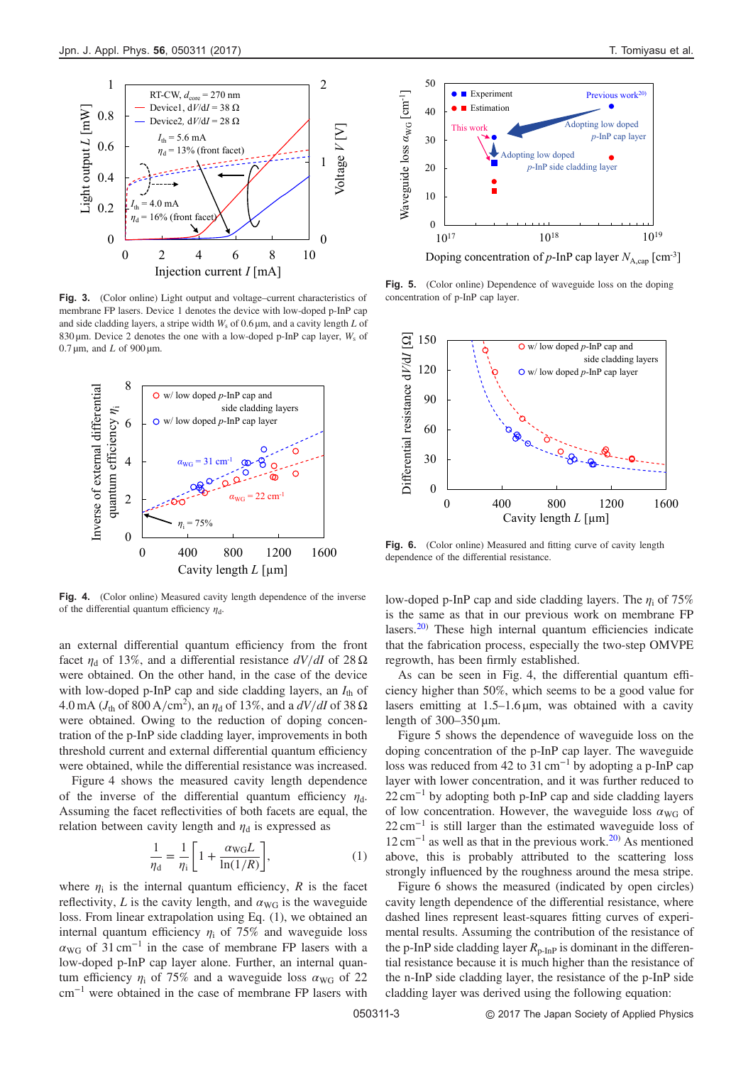<span id="page-3-0"></span>

membrane FP lasers. Device 1 denotes the device with low-doped p-InP cap and side cladding layers, a stripe width  $W_s$  of 0.6  $\mu$ m, and a cavity length L of 830  $\mu$ m. Device 2 denotes the one with a low-doped p-InP cap layer,  $W_s$  of  $0.7 \,\text{\mu m}$ , and L of 900  $\text{\mu m}$ .



Fig. 4. (Color online) Measured cavity length dependence of the inverse of the differential quantum efficiency  $\eta_d$ .

an external differential quantum efficiency from the front facet  $n_d$  of 13%, and a differential resistance  $dV/dI$  of 28  $\Omega$ were obtained. On the other hand, in the case of the device with low-doped p-InP cap and side cladding layers, an  $I_{th}$  of 4.0 mA ( $J_{\text{th}}$  of 800 A/cm<sup>2</sup>), an  $\eta_{\text{d}}$  of 13%, and a  $dV/dI$  of 38  $\Omega$ were obtained. Owing to the reduction of doping concentration of the p-InP side cladding layer, improvements in both threshold current and external differential quantum efficiency were obtained, while the differential resistance was increased.

Figure 4 shows the measured cavity length dependence of the inverse of the differential quantum efficiency  $\eta_d$ . Assuming the facet reflectivities of both facets are equal, the relation between cavity length and  $\eta_d$  is expressed as

$$
\frac{1}{\eta_{\rm d}} = \frac{1}{\eta_{\rm i}} \left[ 1 + \frac{\alpha_{\rm WG} L}{\ln(1/R)} \right],\tag{1}
$$

where  $\eta_i$  is the internal quantum efficiency, R is the facet reflectivity, L is the cavity length, and  $\alpha_{\text{WG}}$  is the waveguide loss. From linear extrapolation using Eq. (1), we obtained an internal quantum efficiency  $\eta_i$  of 75% and waveguide loss  $\alpha_{\text{WG}}$  of 31 cm<sup>-1</sup> in the case of membrane FP lasers with a low-doped p-InP cap layer alone. Further, an internal quantum efficiency  $\eta_i$  of 75% and a waveguide loss  $\alpha_{\text{WG}}$  of 22 cm<sup>−</sup><sup>1</sup> were obtained in the case of membrane FP lasers with



Doping concentration of  $p$ -InP cap layer  $N_{A \text{ can}}$  [cm<sup>-3</sup>]

Fig. 5. (Color online) Dependence of waveguide loss on the doping concentration of p-InP cap layer.



Fig. 6. (Color online) Measured and fitting curve of cavity length dependence of the differential resistance.

low-doped p-InP cap and side cladding layers. The  $\eta_i$  of 75% is the same as that in our previous work on membrane FP lasers.[20\)](#page-4-0) These high internal quantum efficiencies indicate that the fabrication process, especially the two-step OMVPE regrowth, has been firmly established.

As can be seen in Fig. 4, the differential quantum efficiency higher than 50%, which seems to be a good value for mat the rabication process, especially the two-step OM VTE<br>regrowth, has been firmly established.<br>As can be seen in Fig. 4, the differential quantum effi-<br>ciency higher than 50%, which seems to be a good value for<br>lasers As can be seen in<br>As can be seen in<br>ciency higher than 50%<br>lasers emitting at 1.5-<br>length of  $300-350 \mu m$ .

Figure 5 shows the dependence of waveguide loss on the doping concentration of the p-InP cap layer. The waveguide loss was reduced from 42 to 31 cm<sup>−</sup><sup>1</sup> by adopting a p-InP cap layer with lower concentration, and it was further reduced to 22 cm<sup>-1</sup> by adopting both p-InP cap and side cladding layers of low concentration. However, the waveguide loss  $\alpha_{\text{WG}}$  of  $22 \text{ cm}^{-1}$  is still larger than the estimated waveguide loss of  $12 \text{ cm}^{-1}$  as well as that in the previous work.<sup>[20](#page-4-0))</sup> As mentioned above, this is probably attributed to the scattering loss strongly influenced by the roughness around the mesa stripe.

Figure 6 shows the measured (indicated by open circles) cavity length dependence of the differential resistance, where dashed lines represent least-squares fitting curves of experimental results. Assuming the contribution of the resistance of the p-InP side cladding layer  $R_{p-1n}$  is dominant in the differential resistance because it is much higher than the resistance of the n-InP side cladding layer, the resistance of the p-InP side cladding layer was derived using the following equation: